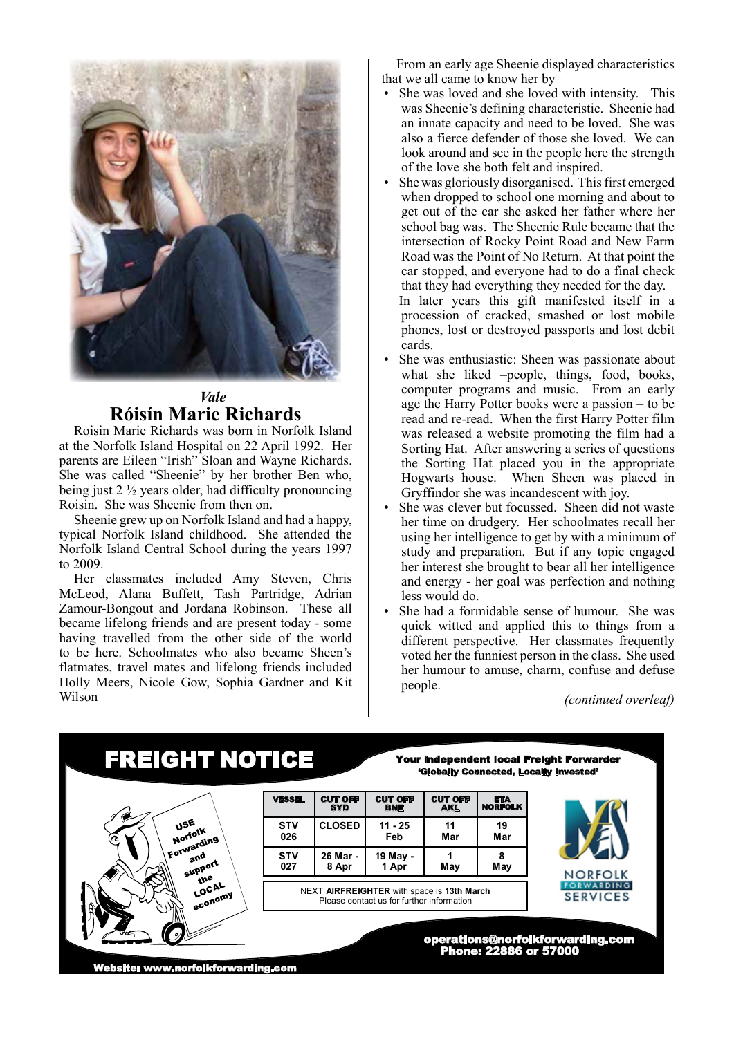

## *Vale* **Róisín Marie Richards**

Roisin Marie Richards was born in Norfolk Island at the Norfolk Island Hospital on 22 April 1992. Her parents are Eileen "Irish" Sloan and Wayne Richards. She was called "Sheenie" by her brother Ben who, being just 2 ½ years older, had difficulty pronouncing Roisin. She was Sheenie from then on.

Sheenie grew up on Norfolk Island and had a happy, typical Norfolk Island childhood. She attended the Norfolk Island Central School during the years 1997 to 2009.

Her classmates included Amy Steven, Chris McLeod, Alana Buffett, Tash Partridge, Adrian Zamour-Bongout and Jordana Robinson. These all became lifelong friends and are present today - some having travelled from the other side of the world to be here. Schoolmates who also became Sheen's flatmates, travel mates and lifelong friends included Holly Meers, Nicole Gow, Sophia Gardner and Kit Wilson

From an early age Sheenie displayed characteristics that we all came to know her by–

- She was loved and she loved with intensity. This was Sheenie's defining characteristic. Sheenie had an innate capacity and need to be loved. She was also a fierce defender of those she loved. We can look around and see in the people here the strength of the love she both felt and inspired.
- She was gloriously disorganised. This first emerged when dropped to school one morning and about to get out of the car she asked her father where her school bag was. The Sheenie Rule became that the intersection of Rocky Point Road and New Farm Road was the Point of No Return. At that point the car stopped, and everyone had to do a final check that they had everything they needed for the day. In later years this gift manifested itself in a

procession of cracked, smashed or lost mobile phones, lost or destroyed passports and lost debit cards.

- She was enthusiastic: Sheen was passionate about what she liked –people, things, food, books, computer programs and music. From an early age the Harry Potter books were a passion – to be read and re-read. When the first Harry Potter film was released a website promoting the film had a Sorting Hat. After answering a series of questions the Sorting Hat placed you in the appropriate Hogwarts house. When Sheen was placed in Gryffindor she was incandescent with joy.
- She was clever but focussed. Sheen did not waste her time on drudgery. Her schoolmates recall her using her intelligence to get by with a minimum of study and preparation. But if any topic engaged her interest she brought to bear all her intelligence and energy - her goal was perfection and nothing less would do.
- She had a formidable sense of humour. She was quick witted and applied this to things from a different perspective. Her classmates frequently voted her the funniest person in the class. She used her humour to amuse, charm, confuse and defuse people.

*(continued overleaf)*

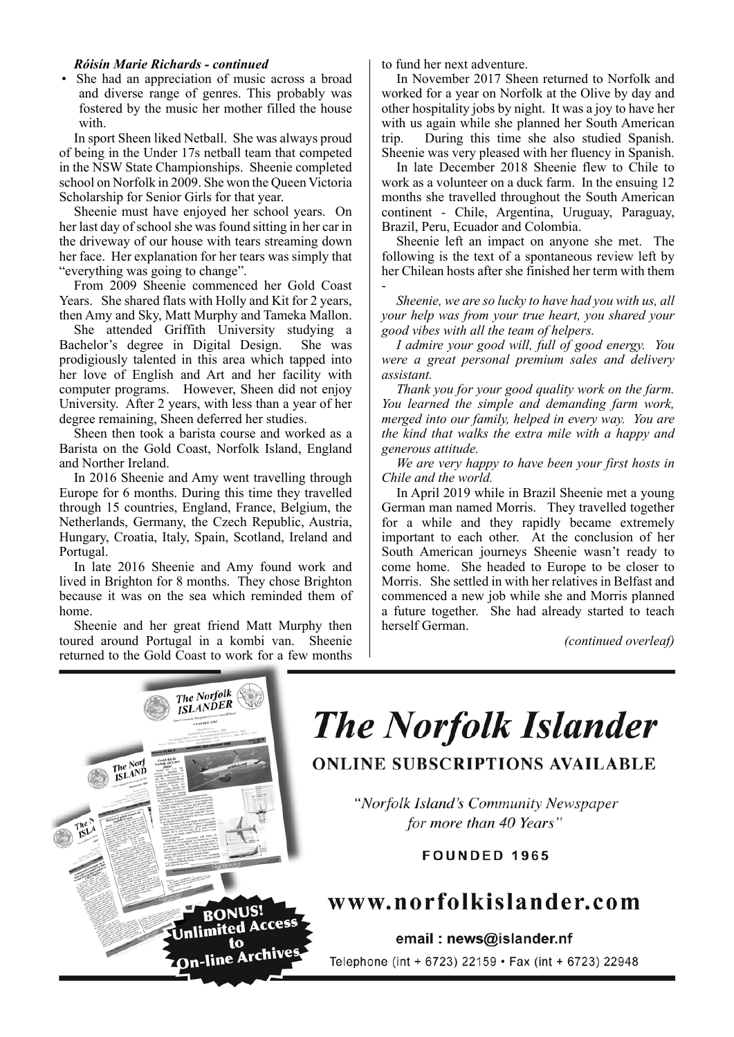### *Róisín Marie Richards - continued*

• She had an appreciation of music across a broad and diverse range of genres. This probably was fostered by the music her mother filled the house with.

In sport Sheen liked Netball. She was always proud of being in the Under 17s netball team that competed in the NSW State Championships. Sheenie completed school on Norfolk in 2009. She won the Queen Victoria Scholarship for Senior Girls for that year.

Sheenie must have enjoyed her school years. On her last day of school she was found sitting in her car in the driveway of our house with tears streaming down her face. Her explanation for her tears was simply that "everything was going to change".

From 2009 Sheenie commenced her Gold Coast Years. She shared flats with Holly and Kit for 2 years, then Amy and Sky, Matt Murphy and Tameka Mallon.

She attended Griffith University studying a Bachelor's degree in Digital Design. She was prodigiously talented in this area which tapped into her love of English and Art and her facility with computer programs. However, Sheen did not enjoy University. After 2 years, with less than a year of her degree remaining, Sheen deferred her studies.

Sheen then took a barista course and worked as a Barista on the Gold Coast, Norfolk Island, England and Norther Ireland.

In 2016 Sheenie and Amy went travelling through Europe for 6 months. During this time they travelled through 15 countries, England, France, Belgium, the Netherlands, Germany, the Czech Republic, Austria, Hungary, Croatia, Italy, Spain, Scotland, Ireland and Portugal.

In late 2016 Sheenie and Amy found work and lived in Brighton for 8 months. They chose Brighton because it was on the sea which reminded them of home.

Sheenie and her great friend Matt Murphy then toured around Portugal in a kombi van. Sheenie returned to the Gold Coast to work for a few months

to fund her next adventure.

In November 2017 Sheen returned to Norfolk and worked for a year on Norfolk at the Olive by day and other hospitality jobs by night. It was a joy to have her with us again while she planned her South American trip. During this time she also studied Spanish. Sheenie was very pleased with her fluency in Spanish.

In late December 2018 Sheenie flew to Chile to work as a volunteer on a duck farm. In the ensuing 12 months she travelled throughout the South American continent - Chile, Argentina, Uruguay, Paraguay, Brazil, Peru, Ecuador and Colombia.

Sheenie left an impact on anyone she met. The following is the text of a spontaneous review left by her Chilean hosts after she finished her term with them -

*Sheenie, we are so lucky to have had you with us, all your help was from your true heart, you shared your good vibes with all the team of helpers.*

*I admire your good will, full of good energy. You were a great personal premium sales and delivery assistant.* 

*Thank you for your good quality work on the farm. You learned the simple and demanding farm work, merged into our family, helped in every way. You are the kind that walks the extra mile with a happy and generous attitude.*

*We are very happy to have been your first hosts in Chile and the world.*

In April 2019 while in Brazil Sheenie met a young German man named Morris. They travelled together for a while and they rapidly became extremely important to each other. At the conclusion of her South American journeys Sheenie wasn't ready to come home. She headed to Europe to be closer to Morris. She settled in with her relatives in Belfast and commenced a new job while she and Morris planned a future together. She had already started to teach herself German.

*(continued overleaf)*



# **The Norfolk Islander**

**ONLINE SUBSCRIPTIONS AVAILABLE** 

"Norfolk Island's Community Newspaper for more than 40 Years"

**FOUNDED 1965** 

# www.norfolkislander.com

email: news@islander.nf Telephone (int + 6723) 22159 • Fax (int + 6723) 22948